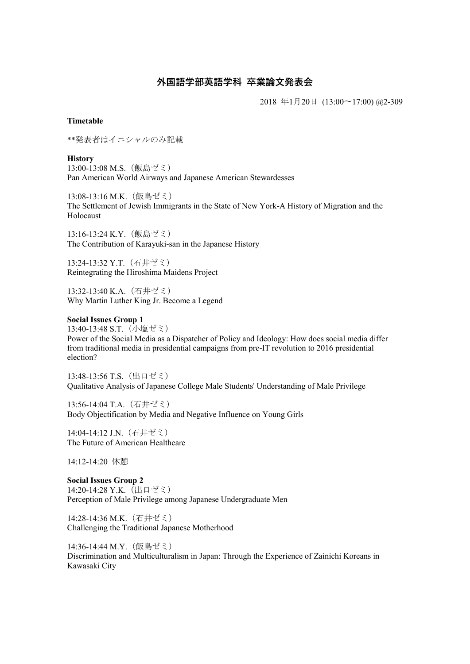## 外国語学部英語学科 卒業論文発表会

2018 年1月20日 (13:00〜17:00) @2-309

## Timetable

\*\*発表者はイニシャルのみ記載

**History** 13:00-13:08 M.S.(飯島ゼミ) Pan American World Airways and Japanese American Stewardesses

13:08-13:16 M.K.(飯島ゼミ) The Settlement of Jewish Immigrants in the State of New York-A History of Migration and the Holocaust

13:16-13:24 K.Y.(飯島ゼミ) The Contribution of Karayuki-san in the Japanese History

13:24-13:32 Y.T.(石井ゼミ) Reintegrating the Hiroshima Maidens Project

13:32-13:40 K.A.(石井ゼミ) Why Martin Luther King Jr. Become a Legend

## Social Issues Group 1

13:40-13:48 S.T.(小塩ゼミ) Power of the Social Media as a Dispatcher of Policy and Ideology: How does social media differ from traditional media in presidential campaigns from pre-IT revolution to 2016 presidential election?

13:48-13:56 T.S.(出口ゼミ) Qualitative Analysis of Japanese College Male Students' Understanding of Male Privilege

13:56-14:04 T.A.(石井ゼミ) Body Objectification by Media and Negative Influence on Young Girls

14:04-14:12 J.N.(石井ゼミ) The Future of American Healthcare

14:12-14:20 休憩

Social Issues Group 2 14:20-14:28 Y.K. (出口ゼミ) Perception of Male Privilege among Japanese Undergraduate Men

14:28-14:36 M.K.(石井ゼミ) Challenging the Traditional Japanese Motherhood

14:36-14:44 M.Y.(飯島ゼミ) Discrimination and Multiculturalism in Japan: Through the Experience of Zainichi Koreans in Kawasaki City